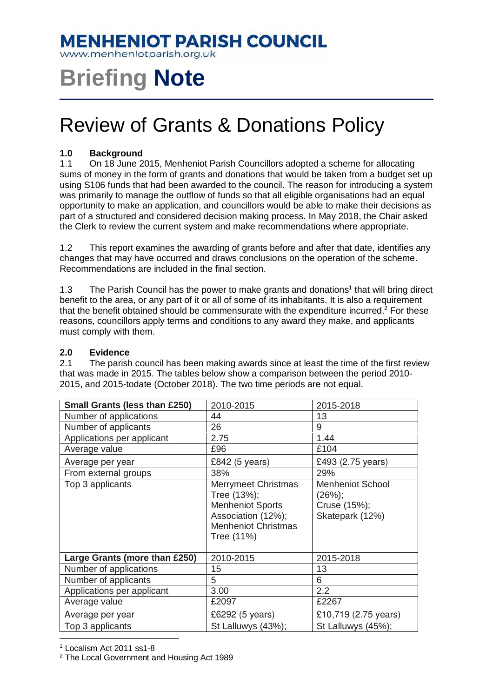### **MENHENIOT PARISH COUNCIL**

www.menheniotparish.org.uk

# **Briefing Note**

## Review of Grants & Donations Policy

#### **1.0 Background**

1.1 On 18 June 2015, Menheniot Parish Councillors adopted a scheme for allocating sums of money in the form of grants and donations that would be taken from a budget set up using S106 funds that had been awarded to the council. The reason for introducing a system was primarily to manage the outflow of funds so that all eligible organisations had an equal opportunity to make an application, and councillors would be able to make their decisions as part of a structured and considered decision making process. In May 2018, the Chair asked the Clerk to review the current system and make recommendations where appropriate.

1.2 This report examines the awarding of grants before and after that date, identifies any changes that may have occurred and draws conclusions on the operation of the scheme. Recommendations are included in the final section.

1.3 The Parish Council has the power to make grants and donations<sup>1</sup> that will bring direct benefit to the area, or any part of it or all of some of its inhabitants. It is also a requirement that the benefit obtained should be commensurate with the expenditure incurred.<sup>2</sup> For these reasons, councillors apply terms and conditions to any award they make, and applicants must comply with them.

#### **2.0 Evidence**

2.1 The parish council has been making awards since at least the time of the first review that was made in 2015. The tables below show a comparison between the period 2010- 2015, and 2015-todate (October 2018). The two time periods are not equal.

| <b>Small Grants (less than £250)</b> | 2010-2015                                                                                                                              | 2015-2018                                                            |
|--------------------------------------|----------------------------------------------------------------------------------------------------------------------------------------|----------------------------------------------------------------------|
| Number of applications               | 44                                                                                                                                     | 13                                                                   |
| Number of applicants                 | 26                                                                                                                                     | 9                                                                    |
| Applications per applicant           | 2.75                                                                                                                                   | 1.44                                                                 |
| Average value                        | £96                                                                                                                                    | £104                                                                 |
| Average per year                     | £842 (5 years)                                                                                                                         | £493 (2.75 years)                                                    |
| From external groups                 | 38%                                                                                                                                    | 29%                                                                  |
| Top 3 applicants                     | <b>Merrymeet Christmas</b><br>Tree (13%);<br><b>Menheniot Sports</b><br>Association (12%);<br><b>Menheniot Christmas</b><br>Tree (11%) | <b>Menheniot School</b><br>(26%);<br>Cruse (15%);<br>Skatepark (12%) |
| Large Grants (more than £250)        | 2010-2015                                                                                                                              | 2015-2018                                                            |
| Number of applications               | 15                                                                                                                                     | 13                                                                   |
| Number of applicants                 | 5                                                                                                                                      | 6                                                                    |
| Applications per applicant           | 3.00                                                                                                                                   | 2.2                                                                  |
| Average value                        | £2097                                                                                                                                  | £2267                                                                |
| Average per year                     | £6292 (5 years)                                                                                                                        | £10,719 (2.75 years)                                                 |
| Top 3 applicants                     | St Lalluwys (43%);                                                                                                                     | St Lalluwys (45%);                                                   |

 $\overline{a}$ 1 Localism Act 2011 ss1-8

<sup>2</sup> The Local Government and Housing Act 1989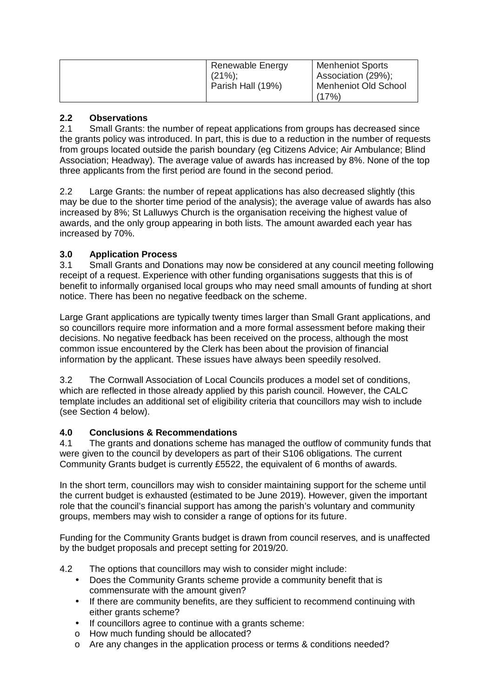| Renewable Energy  | <b>Menheniot Sports</b> |
|-------------------|-------------------------|
| $(21\%)$          | Association (29%);      |
| Parish Hall (19%) | Menheniot Old School    |
|                   | (17%                    |

#### **2.2 Observations**

2.1 Small Grants: the number of repeat applications from groups has decreased since the grants policy was introduced. In part, this is due to a reduction in the number of requests from groups located outside the parish boundary (eg Citizens Advice; Air Ambulance; Blind Association; Headway). The average value of awards has increased by 8%. None of the top three applicants from the first period are found in the second period.

2.2 Large Grants: the number of repeat applications has also decreased slightly (this may be due to the shorter time period of the analysis); the average value of awards has also increased by 8%; St Lalluwys Church is the organisation receiving the highest value of awards, and the only group appearing in both lists. The amount awarded each year has increased by 70%.

#### **3.0 Application Process**

3.1 Small Grants and Donations may now be considered at any council meeting following receipt of a request. Experience with other funding organisations suggests that this is of benefit to informally organised local groups who may need small amounts of funding at short notice. There has been no negative feedback on the scheme.

Large Grant applications are typically twenty times larger than Small Grant applications, and so councillors require more information and a more formal assessment before making their decisions. No negative feedback has been received on the process, although the most common issue encountered by the Clerk has been about the provision of financial information by the applicant. These issues have always been speedily resolved.

3.2 The Cornwall Association of Local Councils produces a model set of conditions, which are reflected in those already applied by this parish council. However, the CALC template includes an additional set of eligibility criteria that councillors may wish to include (see Section 4 below).

#### **4.0 Conclusions & Recommendations**

4.1 The grants and donations scheme has managed the outflow of community funds that were given to the council by developers as part of their S106 obligations. The current Community Grants budget is currently £5522, the equivalent of 6 months of awards.

In the short term, councillors may wish to consider maintaining support for the scheme until the current budget is exhausted (estimated to be June 2019). However, given the important role that the council's financial support has among the parish's voluntary and community groups, members may wish to consider a range of options for its future.

Funding for the Community Grants budget is drawn from council reserves, and is unaffected by the budget proposals and precept setting for 2019/20.

- 4.2 The options that councillors may wish to consider might include:
	- Does the Community Grants scheme provide a community benefit that is commensurate with the amount given?
	- If there are community benefits, are they sufficient to recommend continuing with either grants scheme?
	- If councillors agree to continue with a grants scheme:
	- o How much funding should be allocated?
	- o Are any changes in the application process or terms & conditions needed?